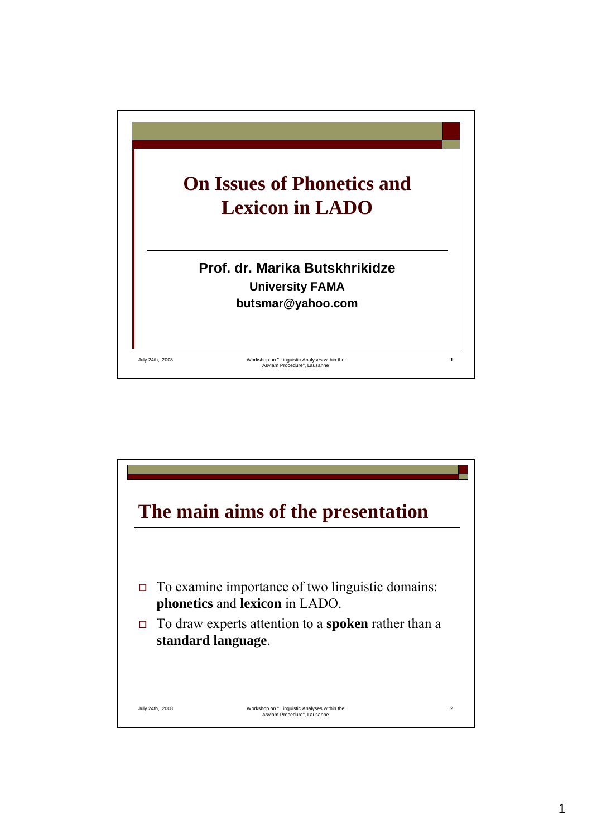

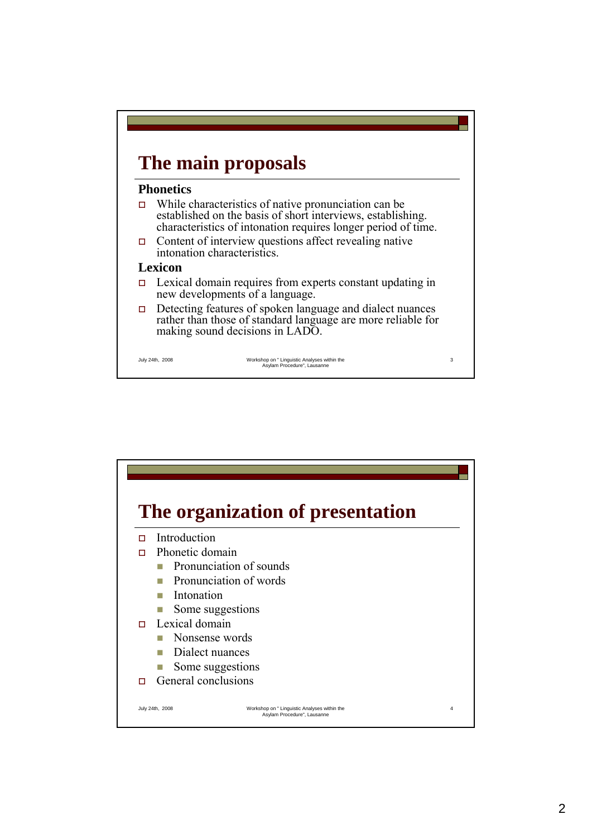# **The main proposals**

#### **Phonetics**

- While characteristics of native pronunciation can be established on the basis of short interviews, establishing. characteristics of intonation requires longer period of time.
- $\Box$  Content of interview questions affect revealing native intonation characteristics.

#### **Lexicon**

- $\Box$  Lexical domain requires from experts constant updating in new developments of a language.
- $\Box$  Detecting features of spoken language and dialect nuances rather than those of standard language are more reliable for making sound decisions in LADO.

July 24th, 2008 Workshop on " Linguistic Analyses within the Asylam Procedure", Lausanne

3

July 24th, 2008 Workshop on " Linguistic Analyses within the Asylam Procedure", Lausanne 4 **The organization of presentation** Introduction □ Phonetic domain **Pronunciation of sounds Pronunciation of words Intonation** Some suggestions  $\Box$  Lexical domain **Nonsense words** Dialect nuances Some suggestions  $\Box$  General conclusions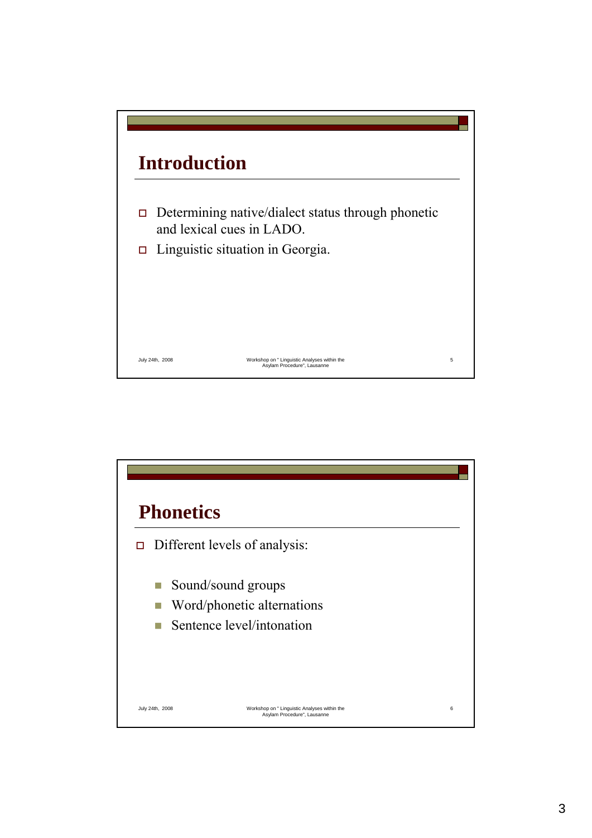

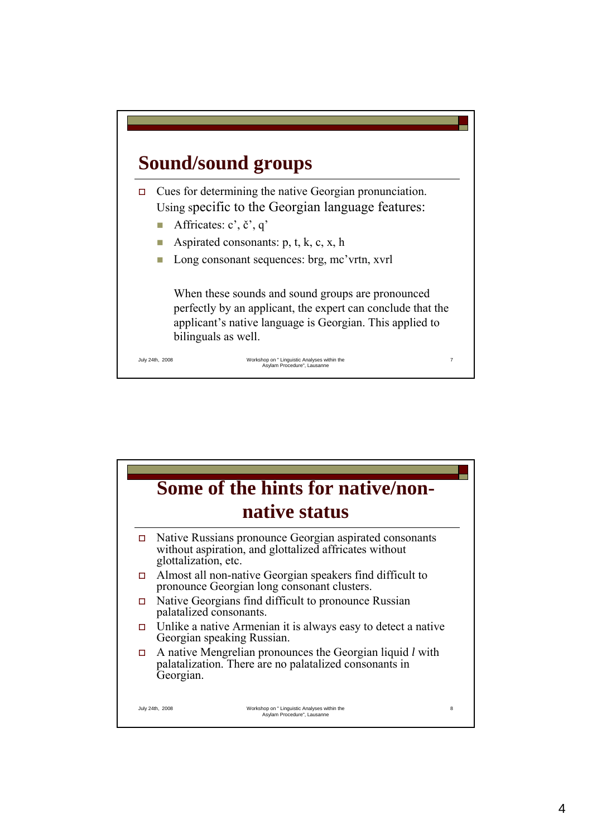# **Sound/sound groups**

 $\Box$  Cues for determining the native Georgian pronunciation. Using specific to the Georgian language features:

- Affricates:  $c'$ ,  $\check{c}'$ ,  $q'$
- Aspirated consonants: p, t, k, c, x, h
- Long consonant sequences: brg, mc'vrtn, xvrl

When these sounds and sound groups are pronounced perfectly by an applicant, the expert can conclude that the applicant's native language is Georgian. This applied to bilinguals as well.

7

July 24th, 2008 Workshop on " Linguistic Analyses within the Asylam Procedure", Lausanne

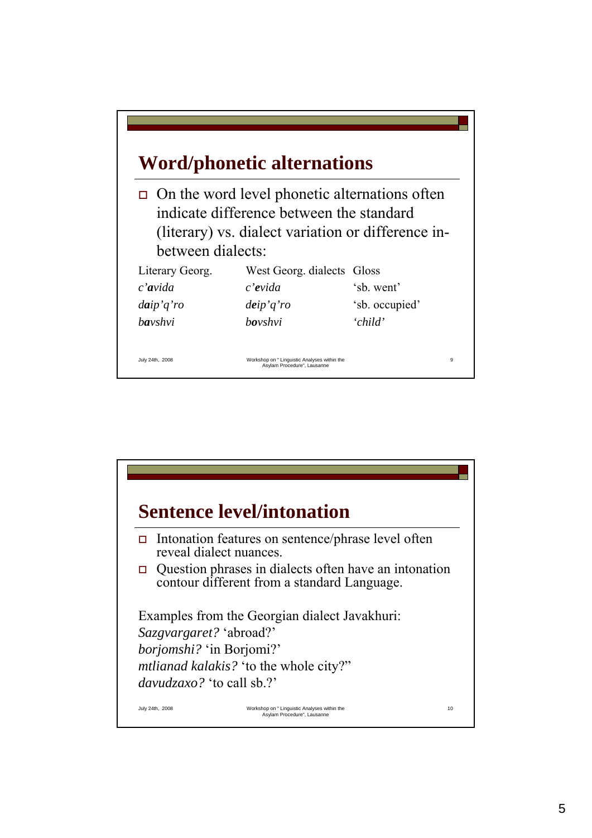|                   | <b>Word/phonetic alternations</b>                                                                                                               |                |
|-------------------|-------------------------------------------------------------------------------------------------------------------------------------------------|----------------|
| between dialects: | On the word level phonetic alternations often<br>indicate difference between the standard<br>(literary) vs. dialect variation or difference in- |                |
| Literary Georg.   | West Georg. dialects Gloss                                                                                                                      |                |
| $c'$ avida        | c'evida                                                                                                                                         | 'sb. went'     |
| $d$ aip' $q'$ ro  | deip'q'ro                                                                                                                                       | 'sb. occupied' |
| <b>ba</b> vshvi   | <i>hovshvi</i>                                                                                                                                  | 'child'        |

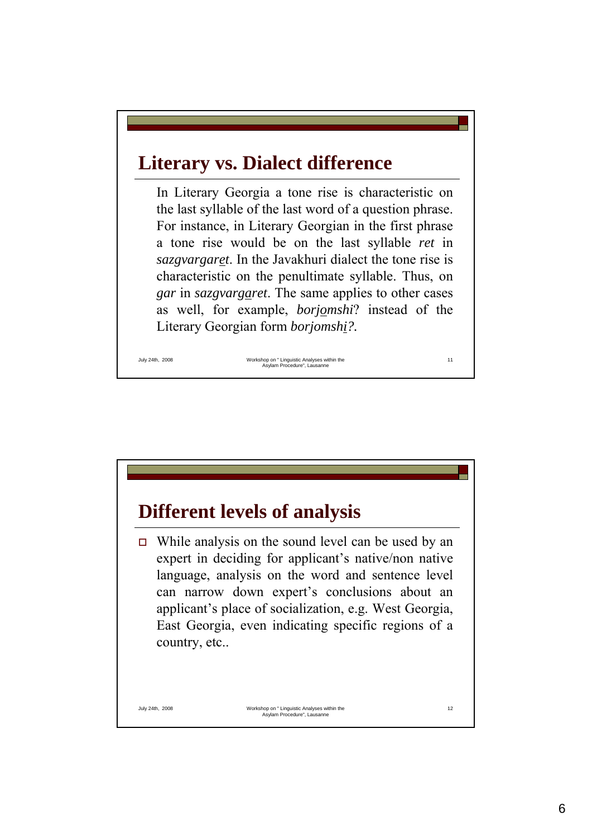### **Literary vs. Dialect difference**

In Literary Georgia a tone rise is characteristic on the last syllable of the last word of a question phrase. For instance, in Literary Georgian in the first phrase a tone rise would be on the last syllable *ret* in *sazgvargaret*. In the Javakhuri dialect the tone rise is characteristic on the penultimate syllable. Thus, on *gar* in *sazgvargaret*. The same applies to other cases as well, for example, *borjomshi*? instead of the Literary Georgian form *borjomshi?.*

July 24th, 2008 Workshop on " Linguistic Analyses within the Asylam Procedure", Lausanne

11

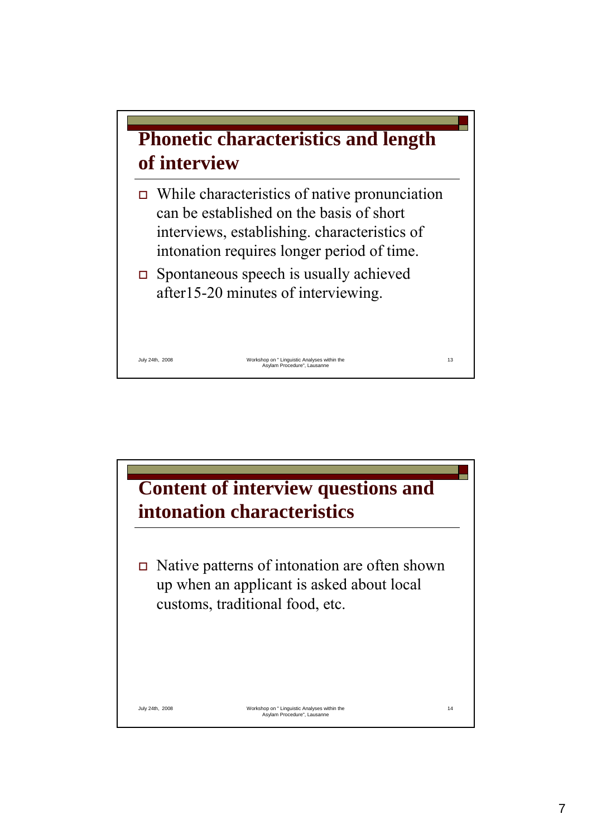

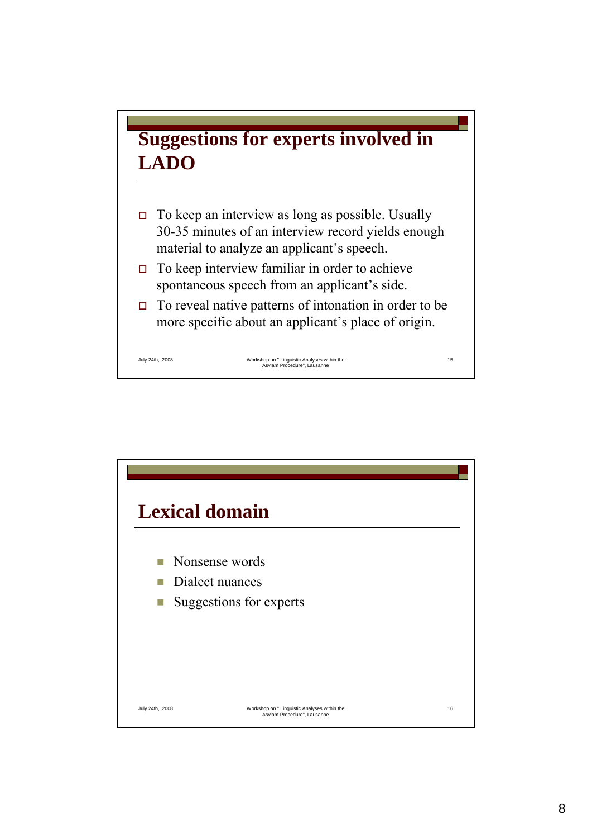

- $\Box$  To keep an interview as long as possible. Usually 30-35 minutes of an interview record yields enough material to analyze an applicant's speech.
- $\Box$  To keep interview familiar in order to achieve spontaneous speech from an applicant's side.
- $\Box$  To reveal native patterns of intonation in order to be more specific about an applicant's place of origin.

July 24th, 2008 Workshop on " Linguistic Analyses within the Asylam Procedure", Lausanne

15

July 24th, 2008 Workshop on " Linguistic Analyses within the Asylam Procedure", Lausanne 16 **Lexical domain Nonsense words** Dialect nuances ■ Suggestions for experts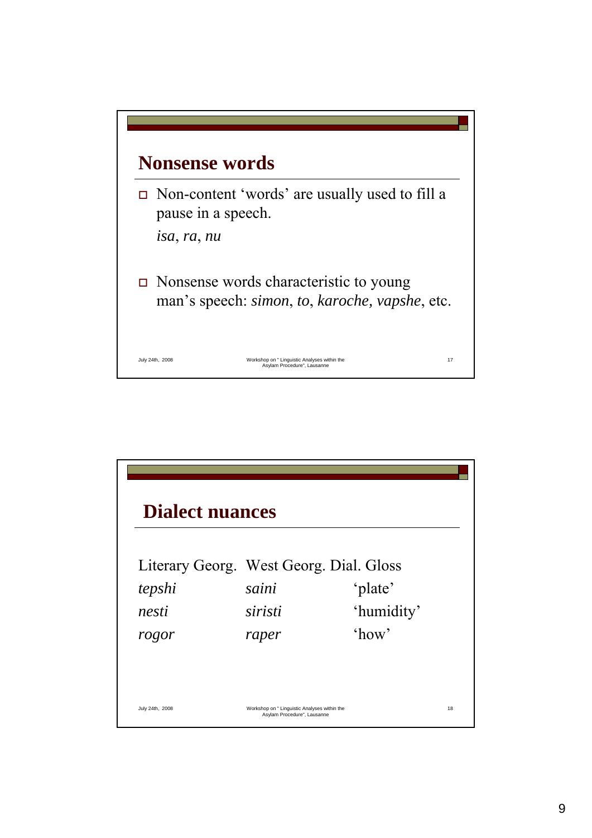

| Literary Georg. West Georg. Dial. Gloss |         |            |  |
|-----------------------------------------|---------|------------|--|
| tepshi                                  | saini   | 'plate'    |  |
| nesti                                   | siristi | 'humidity' |  |
| rogor                                   | raper   | $'$ how'   |  |